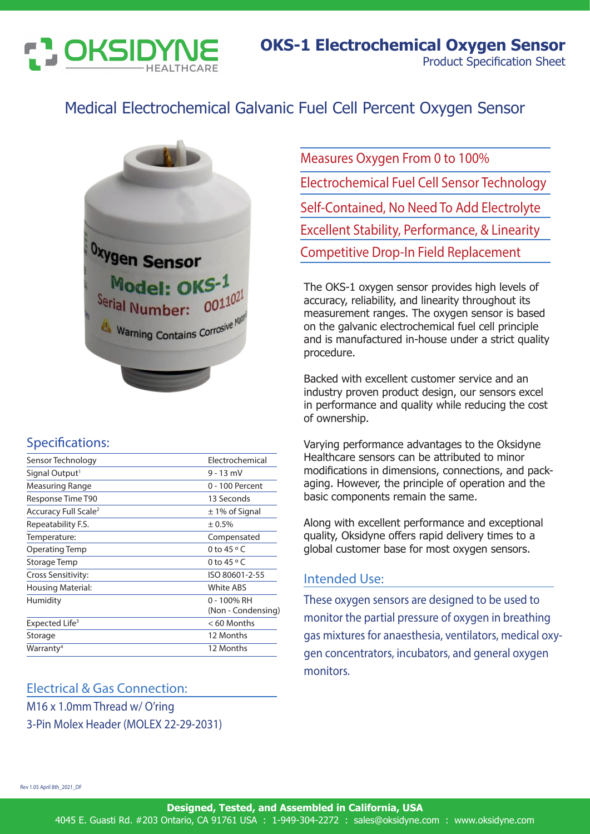

## Medical Electrochemical Galvanic Fuel Cell Percent Oxygen Sensor



### Specifications:

| Sensor Technology                | Electrochemical                      |
|----------------------------------|--------------------------------------|
| Signal Output <sup>1</sup>       | $9 - 13$ mV                          |
| Measuring Range                  | 0 - 100 Percent                      |
| Response Time T90                | 13 Seconds                           |
| Accuracy Full Scale <sup>2</sup> | $\pm$ 1% of Signal                   |
| Repeatability F.S.               | ± 0.5%                               |
| Temperature:                     | Compensated                          |
| Operating Temp                   | 0 to 45 $\circ$ C                    |
| Storage Temp                     | 0 to 45 $\circ$ C                    |
| Cross Sensitivity:               | ISO 80601-2-55                       |
| Housing Material:                | <b>White ABS</b>                     |
| Humidity                         | $0 - 100\%$ RH<br>(Non - Condensing) |
| Expected Life <sup>3</sup>       | $<$ 60 Months                        |
| Storage                          | 12 Months                            |
| Warranty <sup>4</sup>            | 12 Months                            |
|                                  |                                      |

#### Electrical & Gas Connection:

M16 x 1.0mm Thread w/ O'ring 3-Pin Molex Header (MOLEX 22-29-2031) Measures Oxygen From 0 to 100% Electrochemical Fuel Cell Sensor Technology Self-Contained, No Need To Add Electrolyte Excellent Stability, Performance, & Linearity Competitive Drop-In Field Replacement

The OKS-1 oxygen sensor provides high levels of accuracy, reliability, and linearity throughout its measurement ranges. The oxygen sensor is based on the galvanic electrochemical fuel cell principle and is manufactured in-house under a strict quality procedure.

Backed with excellent customer service and an industry proven product design, our sensors excel in performance and quality while reducing the cost of ownership.

Varying performance advantages to the Oksidyne Healthcare sensors can be attributed to minor modifications in dimensions, connections, and packaging. However, the principle of operation and the basic components remain the same.

Along with excellent performance and exceptional quality, Oksidyne offers rapid delivery times to a global customer base for most oxygen sensors.

#### Intended Use:

These oxygen sensors are designed to be used to monitor the partial pressure of oxygen in breathing gas mixtures for anaesthesia, ventilators, medical oxygen concentrators, incubators, and general oxygen monitors.

Rev 1.05 April 8th\_2021\_DF